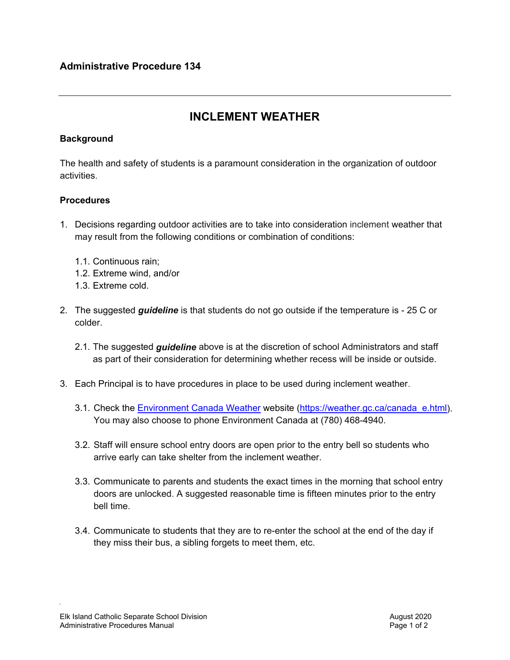## **INCLEMENT WEATHER**

## **Background**

The health and safety of students is a paramount consideration in the organization of outdoor activities.

## **Procedures**

- 1. Decisions regarding outdoor activities are to take into consideration inclement weather that may result from the following conditions or combination of conditions:
	- 1.1. Continuous rain;
	- 1.2. Extreme wind, and/or
	- 1.3. Extreme cold.
- 2. The suggested *guideline* is that students do not go outside if the temperature is 25 C or colder.
	- 2.1. The suggested *guideline* above is at the discretion of school Administrators and staff as part of their consideration for determining whether recess will be inside or outside.
- 3. Each Principal is to have procedures in place to be used during inclement weather.
	- 3.1. Check the [Environment Canada Weather](https://weather.gc.ca/canada_e.html) website [\(https://weather.gc.ca/canada\\_e.html\)](https://weather.gc.ca/canada_e.html). You may also choose to phone Environment Canada at (780) 468-4940.
	- 3.2. Staff will ensure school entry doors are open prior to the entry bell so students who arrive early can take shelter from the inclement weather.
	- 3.3. Communicate to parents and students the exact times in the morning that school entry doors are unlocked. A suggested reasonable time is fifteen minutes prior to the entry bell time.
	- 3.4. Communicate to students that they are to re-enter the school at the end of the day if they miss their bus, a sibling forgets to meet them, etc.